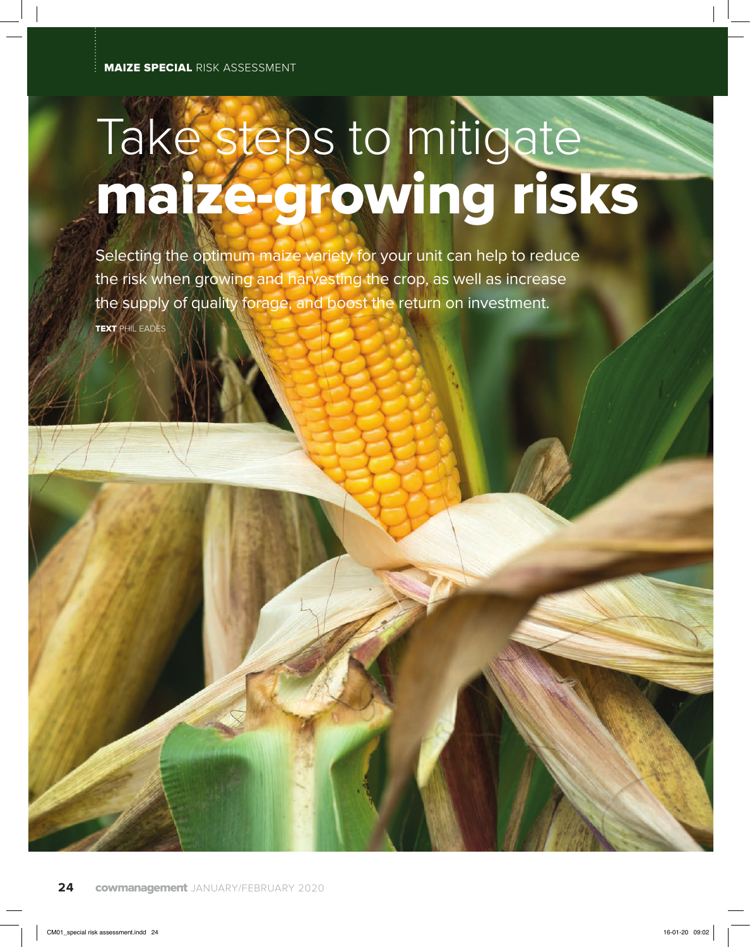## Take steps to mitigate maize-growing risks

Selecting the optimum maize variety for your unit can help to reduce the risk when growing and harvesting the crop, as well as increase the supply of quality forage, and boost the return on investment. TEXT PHIL EADES